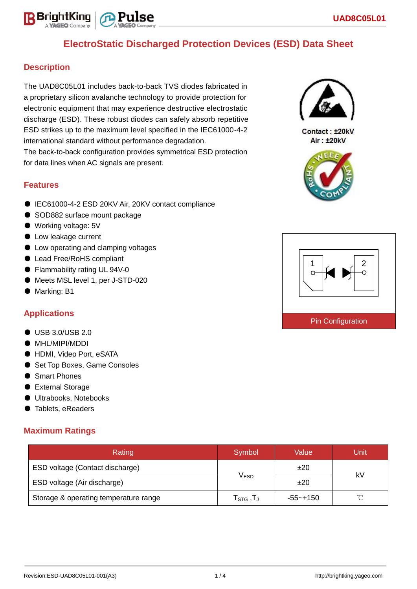# **ElectroStatic Discharged Protection Devices (ESD) Data Sheet**

## **Description**

BrightKing

The UAD8C05L01 includes back-to-back TVS diodes fabricated in a proprietary silicon avalanche technology to provide protection for electronic equipment that may experience destructive electrostatic discharge (ESD). These robust diodes can safely absorb repetitive ESD strikes up to the maximum level specified in the IEC61000-4-2 international standard without performance degradation.

The back-to-back configuration provides symmetrical ESD protection for data lines when AC signals are present.

### **Features**

- IEC61000-4-2 ESD 20KV Air, 20KV contact compliance
- SOD882 surface mount package
- Working voltage: 5V
- Low leakage current
- Low operating and clamping voltages
- Lead Free/RoHS compliant
- Flammability rating UL 94V-0
- Meets MSL level 1, per J-STD-020
- Marking: B1

## **Applications**

- USB 3.0/USB 2.0
- MHL/MIPI/MDDI
- HDMI, Video Port, eSATA
- Set Top Boxes, Game Consoles
- Smart Phones
- External Storage
- Ultrabooks, Notebooks
- Tablets, eReaders

### **Maximum Ratings**

| Rating                                | Symbol                                                    | Value        | Unit |  |
|---------------------------------------|-----------------------------------------------------------|--------------|------|--|
| ESD voltage (Contact discharge)       |                                                           | ±20          | k٧   |  |
| ESD voltage (Air discharge)           | <b>VESD</b>                                               | ±20          |      |  |
| Storage & operating temperature range | ${\mathsf T}_{\texttt{STG}}\,, {\mathsf T}_{\mathsf J}\,$ | $-55 - +150$ | ∽    |  |



Contact: ±20kV Air: ±20kV



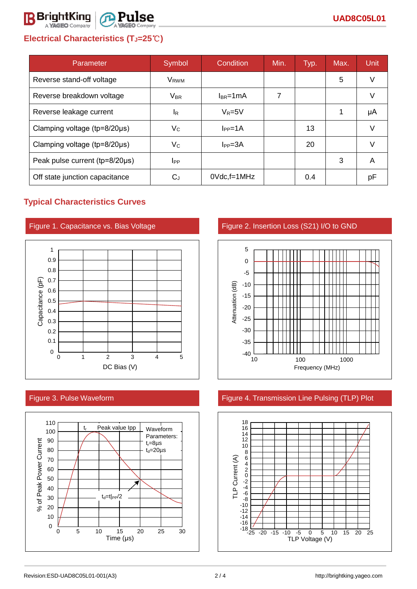# **Electrical Characteristics (TJ=25**℃**)**

@ P11

lse

**R** BrightKing

| Parameter                              | Symbol           | Condition          | Min. | Typ. | Max. | <b>Unit</b> |
|----------------------------------------|------------------|--------------------|------|------|------|-------------|
| Reverse stand-off voltage              | V <sub>RWM</sub> |                    |      |      | 5    | V           |
| Reverse breakdown voltage              | $V_{BR}$         | $I_{BR}$ =1mA      | 7    |      |      | V           |
| Reverse leakage current                | ΙR               | $V_R = 5V$         |      |      | 1    | μA          |
| Clamping voltage (tp=8/20µs)           | Vc               | $IPP=1A$           |      | 13   |      | V           |
| Clamping voltage ( $tp = 8/20 \mu s$ ) | Vc               | $I_{PP} = 3A$      |      | 20   |      |             |
| Peak pulse current (tp=8/20µs)         | $_{\rm lPP}$     |                    |      |      | 3    | A           |
| Off state junction capacitance         | $C_{J}$          | $0Vdc$ , f=1 $MHz$ |      | 0.4  |      | рF          |

## **Typical Characteristics Curves**







### Figure 3. Pulse Waveform Figure 4. Transmission Line Pulsing (TLP) Plot

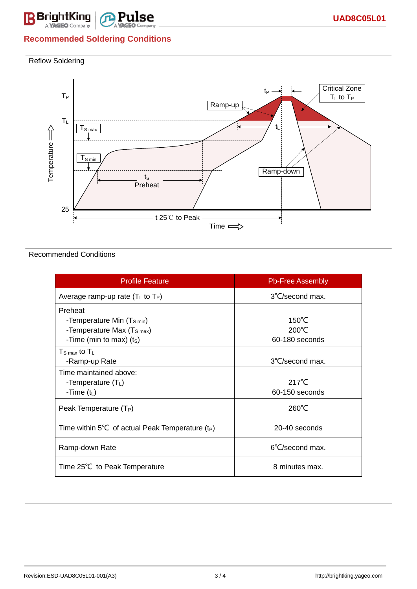

# **Recommended Soldering Conditions**



### Recommended Conditions

| <b>Profile Feature</b>                             | <b>Pb-Free Assembly</b> |  |
|----------------------------------------------------|-------------------------|--|
| Average ramp-up rate $(T_L$ to $T_P)$              | 3°C/second max.         |  |
| Preheat                                            |                         |  |
| -Temperature Min $(T_{\text{S min}})$              | $150^{\circ}$ C         |  |
| -Temperature Max (T <sub>S max</sub> )             | 200°C                   |  |
| -Time (min to max) (ts)                            | 60-180 seconds          |  |
| $T_{\rm S\,max}$ to $T_{\rm L}$                    |                         |  |
| -Ramp-up Rate                                      | 3°C/second max.         |  |
| Time maintained above:                             |                         |  |
| -Temperature $(T_L)$                               | $217^{\circ}$ C         |  |
| -Time $(t_L)$                                      | 60-150 seconds          |  |
| Peak Temperature $(T_P)$                           | 260°C                   |  |
| Time within 5°C of actual Peak Temperature $(t_P)$ | 20-40 seconds           |  |
| Ramp-down Rate                                     | 6°C/second max.         |  |
| Time 25°C to Peak Temperature                      | 8 minutes max.          |  |